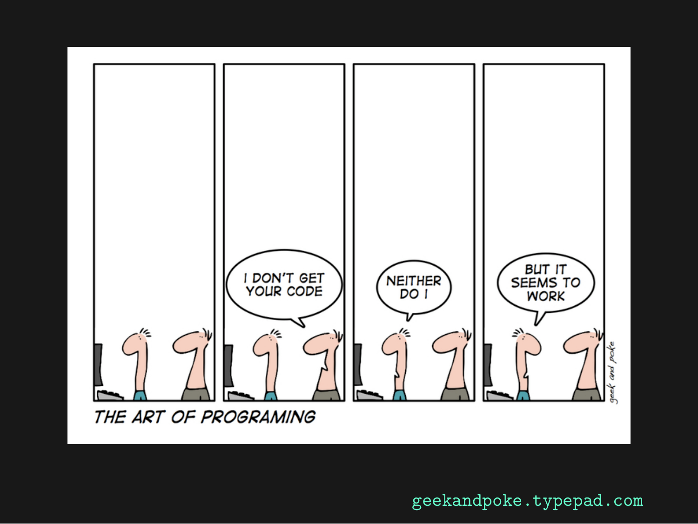

geekandpoke.typepad.com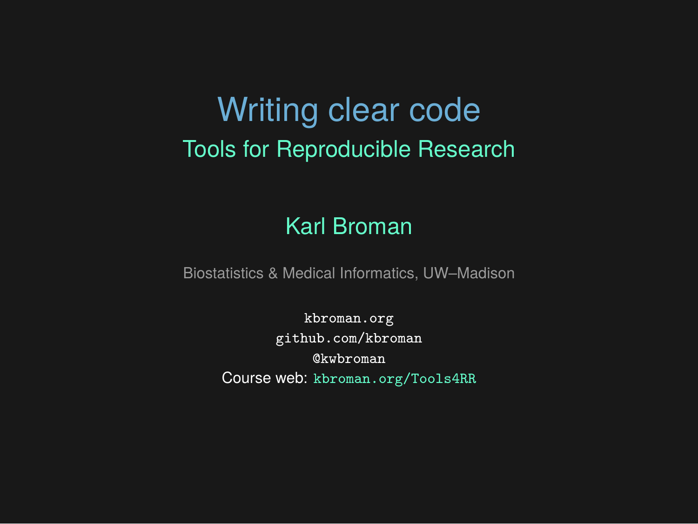# Writing clear code Tools for Reproducible Research

#### Karl Broman

Biostatistics & Medical Informatics, UW–Madison

kbroman.org github.com/kbroman @kwbroman Course web: kbroman.org/Tools4RR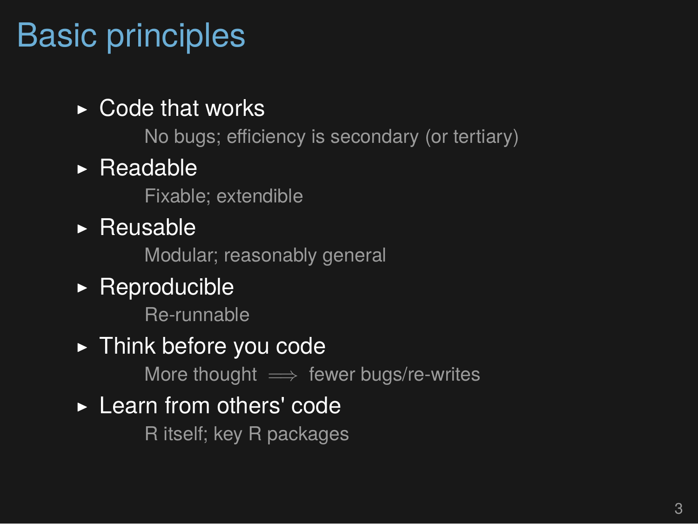## Basic principles

#### $\triangleright$  Code that works

No bugs; efficiency is secondary (or tertiary)

#### ▶ Readable

Fixable; extendible

▶ Reusable

Modular; reasonably general

#### $\triangleright$  Reproducible

Re-runnable

#### ▶ Think before you code

More thought =*⇒* fewer bugs/re-writes

#### ▶ Learn from others' code

R itself; key R packages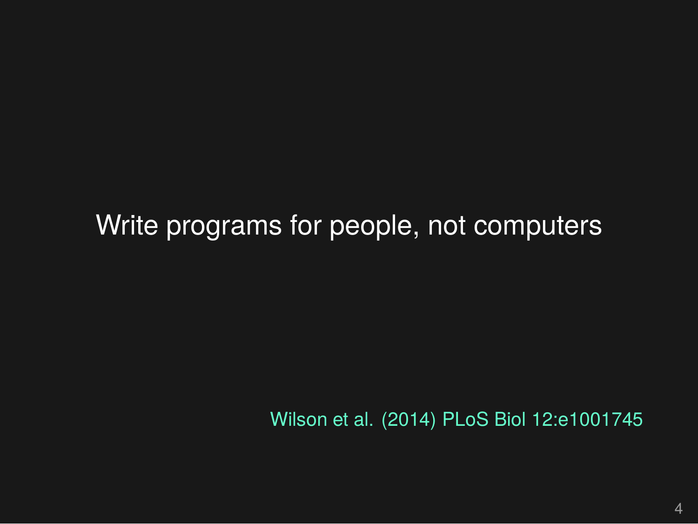Write programs for people, not computers

Wilson et al. (2014) PLoS Biol 12:e1001745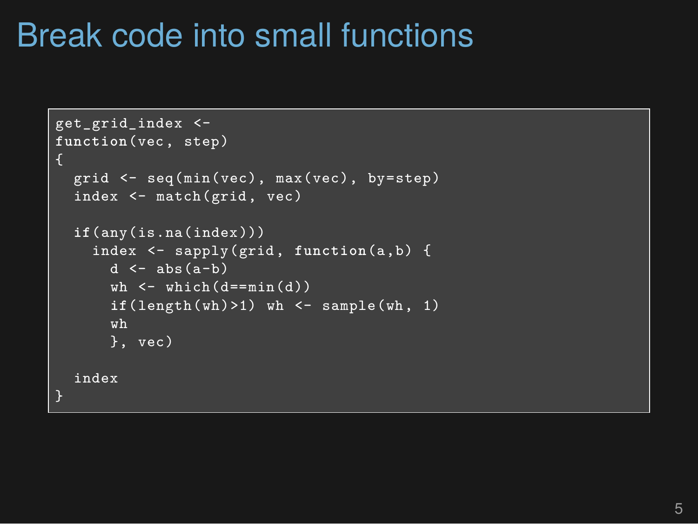#### Break code into small functions

```
get_grid_index <-
function(vec, step)
\mathcal{L}grid <- seq(min(vec), max(vec), by=step)
  index <- match(grid, vec)
  if(any(is.na(index)))
    index <- sapply(grid, function(a,b) {
      d \leftarrow abs(a-b)wh \leftarrow which (d == min(d))if(length(wh) > 1) wh \leq - sample(wh, 1)
      wh
      }, vec)
  index
}
```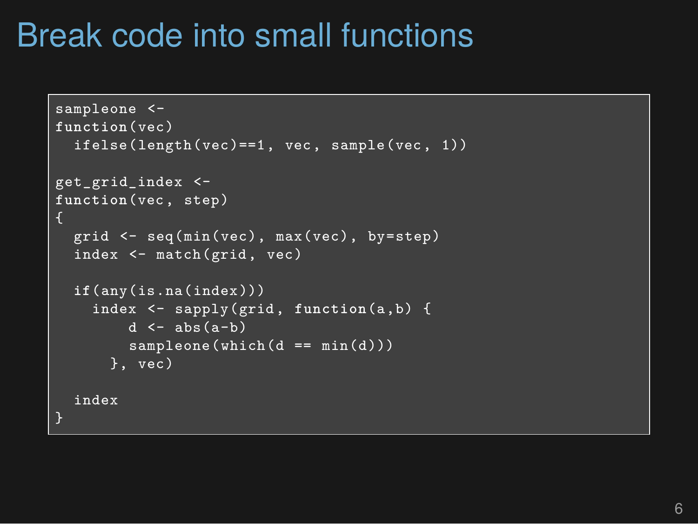#### Break code into small functions

```
sampleone <-
function(vec)
  ifelse(length(vec)==1, vec, sample(vec, 1))
get_grid_index <-
function(vec, step)
\sqrt{2}grid <- seq(min(vec), max(vec), by=step)
  index <- match(grid, vec)
  if(any(is.na(index)))
    index <- sapply(grid, function(a,b) {
        d \leftarrow abs(a-b)sampleone(which(d == min(d)))}, vec)
  index
}
```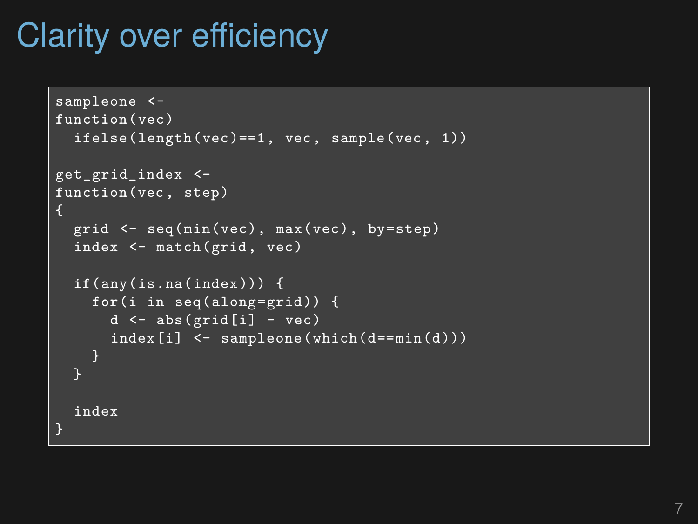## Clarity over efficiency

```
sampleone <-
function(vec)
  ifelse(length(vec)==1, vec, sample(vec, 1))
get_grid_index <-
function(vec, step)
\mathbf{f}grid <- seq(min(vec), max(vec), by=step)
  index <- match(grid, vec)
  if(any(is.na(index))) {
    for(i in seq(along=grid)) {
      d \leftarrow abs(grid[i] - vec)index[i] <- sampleone(which(d==min(d)))
    }
  index
}
```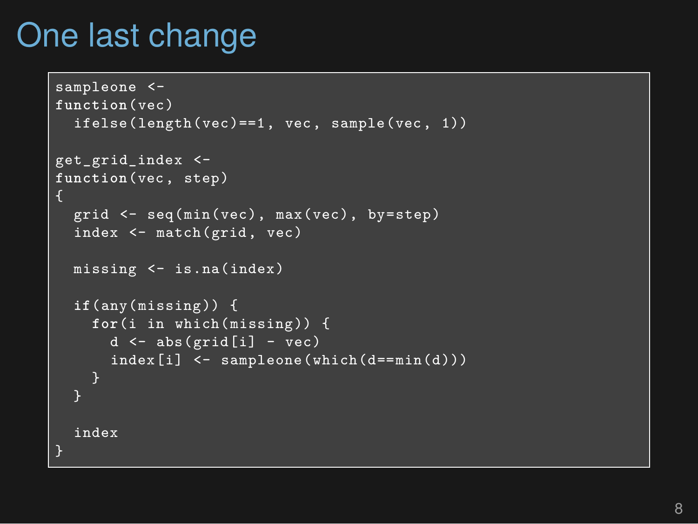#### One last change

```
sampleone <-
function(vec)
  ifelse(length(vec)==1, vec, sample(vec, 1))
get_grid_index <-
function(vec, step)
{
  grid <- seq(min(vec), max(vec), by=step)
  index <- match(grid, vec)
  missing <- is.na(index)
  if(any(missing)) {
    for(i in which(missing)) {
      d \leftarrow abs(grid[i] - vec)index[i] < - sampleone(which(d == min(d)))0
  }
  index
}
```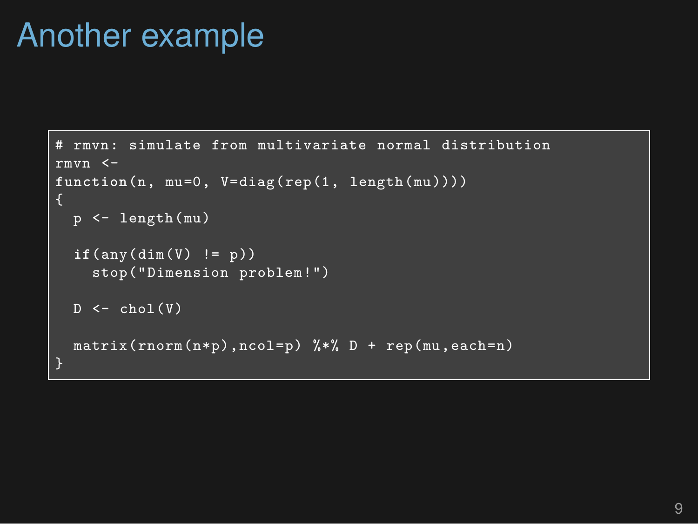#### Another example

```
rmyn: simulate from multivariate normal distribution
rmvn <-
function(n, mu=0, V=diag(rep(1, length(mu))))
  p <- length(mu)
  if(any(dim(V) != p))
    stop("Dimension problem!")
  D \leftarrow \text{chol}(V)matrix(rnorm(n*p),ncol=p) %*% D + rep(mu,each=n)
}
```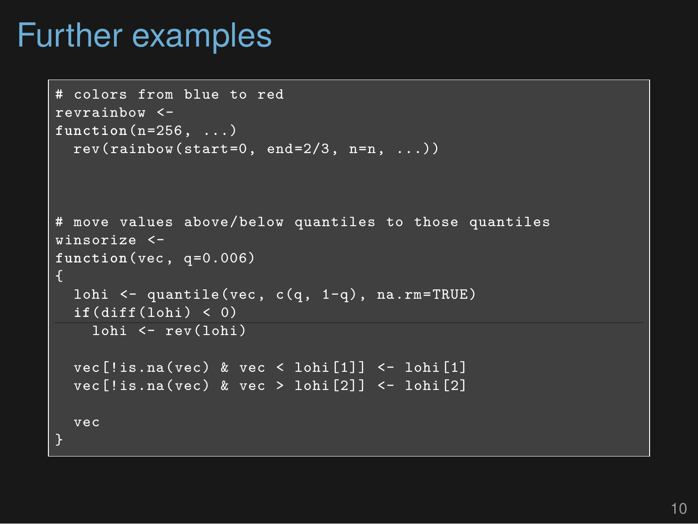#### Further examples

```
# colors from blue to red
revrainbow <-
function(n=256, ...)
  rev(rainbow(start=0, end=2/3, n=n, ...))# move values above/below quantiles to those quantiles
winsorize <-
function(vec, q=0.006)
{
  lohi <- quantile(vec, c(q, 1-q), na.rm=TRUE)
  if(diff(lohi) < 0)
   lohi <- rev(lohi)
  vec[!is.na(vec) & vec < lohi[1]] <- lohi[1]
  vec[!is,na(vec) & vec > lohi[2]] \leftarrow lohi[2]vec
}
```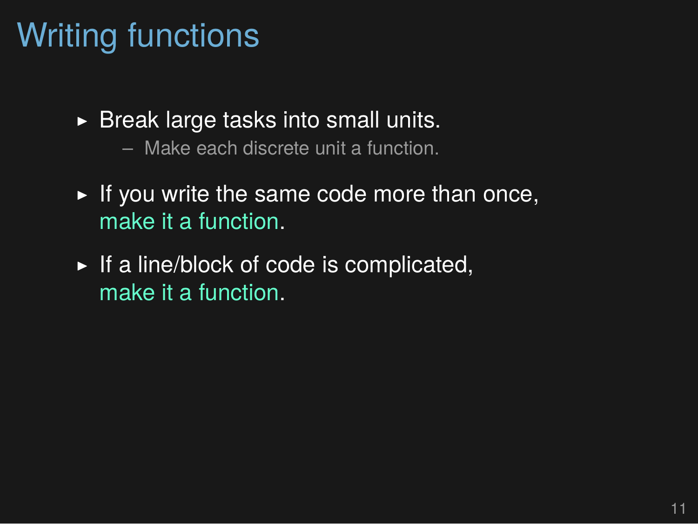## Writing functions

- $\triangleright$  Break large tasks into small units.
	- Make each discrete unit a function.
- $\blacktriangleright$  If you write the same code more than once, make it a function.
- $\blacktriangleright$  If a line/block of code is complicated, make it a function.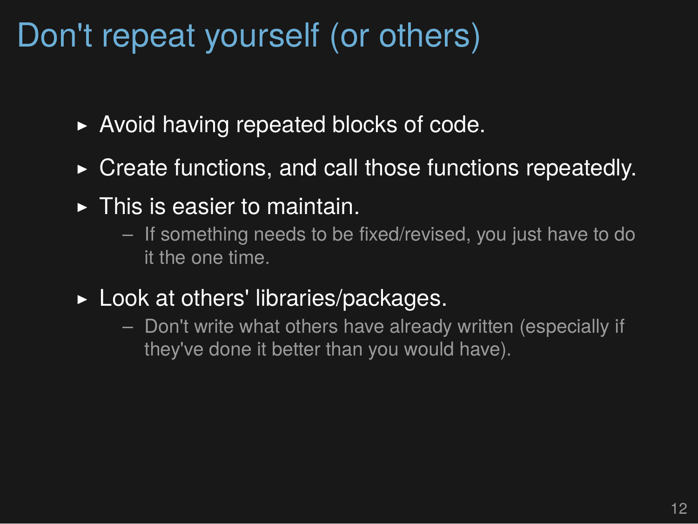### Don't repeat yourself (or others)

- ▶ Avoid having repeated blocks of code.
- ▶ Create functions, and call those functions repeatedly.
- $\blacktriangleright$  This is easier to maintain.
	- If something needs to be fixed/revised, you just have to do it the one time.
- $\blacktriangleright$  Look at others' libraries/packages.
	- Don't write what others have already written (especially if they've done it better than you would have).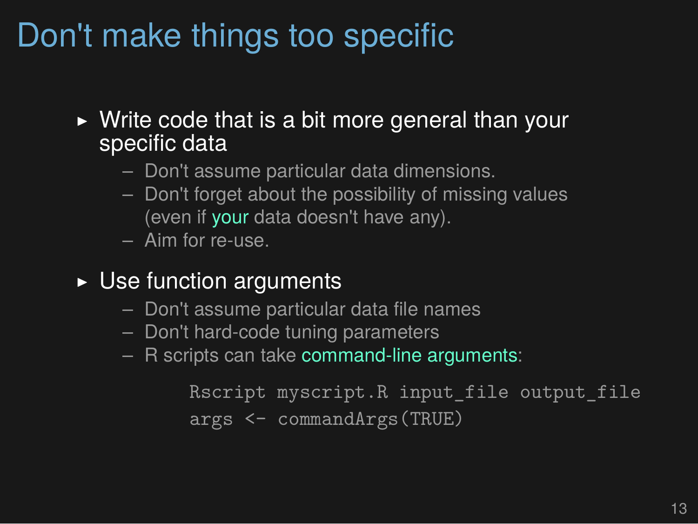# Don't make things too specific

- $\triangleright$  Write code that is a bit more general than your specific data
	- Don't assume particular data dimensions.
	- Don't forget about the possibility of missing values (even if your data doesn't have any).
	- Aim for re-use.
- $\triangleright$  Use function arguments
	- Don't assume particular data file names
	- Don't hard-code tuning parameters
	- R scripts can take command-line arguments:

```
Rscript myscript.R input_file output_file
args <- commandArgs(TRUE)
```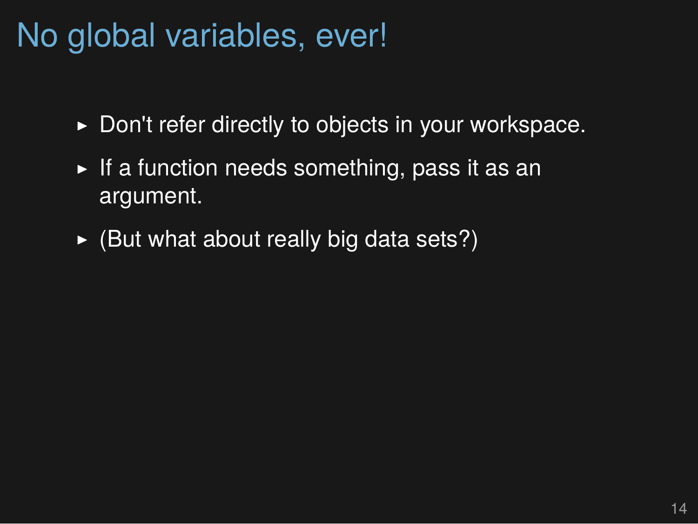### No global variables, ever!

- ▶ Don't refer directly to objects in your workspace.
- $\triangleright$  If a function needs something, pass it as an argument.
- $\triangleright$  (But what about really big data sets?)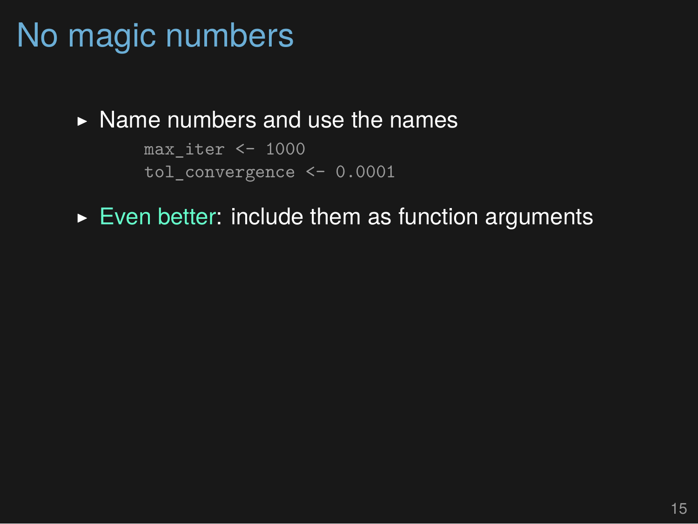## No magic numbers

#### $\triangleright$  Name numbers and use the names

```
max iter <- 1000tol convergence <- 0.0001
```
#### $\triangleright$  Even better: include them as function arguments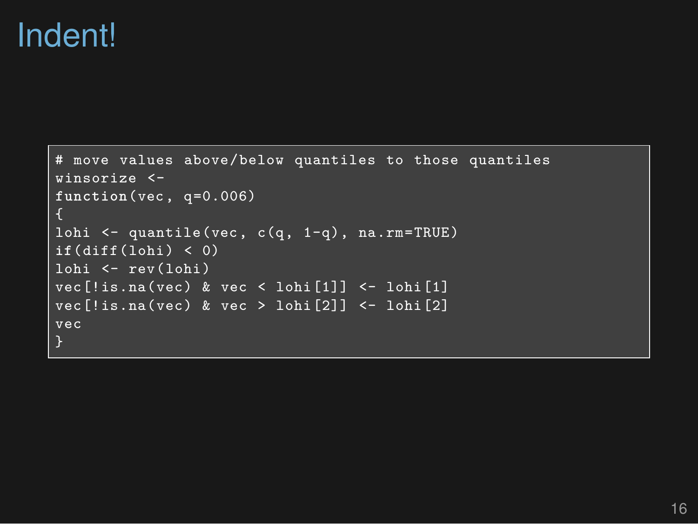#### Indent!

```
# move values above/below quantiles to those quantiles
winsorize <-
function(vec, q=0.006)
\mathcal{L}lohi <- quantile(vec, c(q, 1-q), na.rm=TRUE)
if(diff(lohi) < 0)
lohi <- rev(lohi)
vec[!is.na(vec) & vec < lohi[1]] <- lohi[1]
vec[!is.na(vec) & vec > 1ohi[2]] <- 1ohi[2]vec
}
```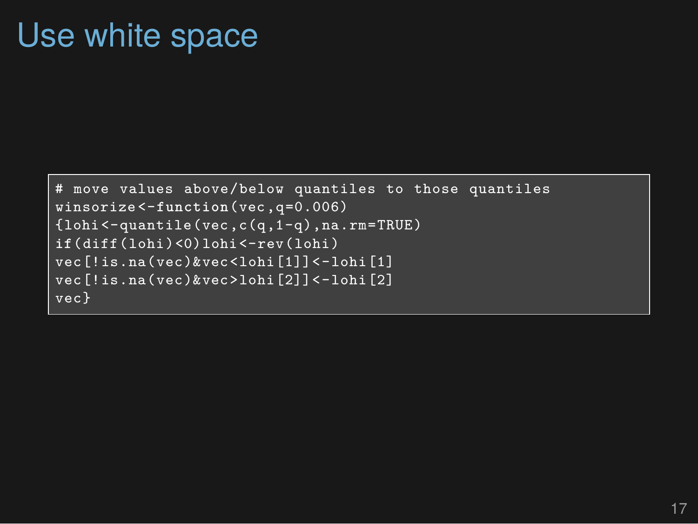#### Use white space

```
# move values above/below quantiles to those quantiles
winsorize <-function(vec,q=0.006)
{lohi<-quantile(vec,c(q,1-q),na.rm=TRUE)
if(diff(lohi)<0)lohi<-rev(lohi)
vec[!is.na(vec)&vec<lohi[1]]<-lohi[1]
vec[!is.na(vec)&vec>lohi[2]]<-lohi[2]
vec}
```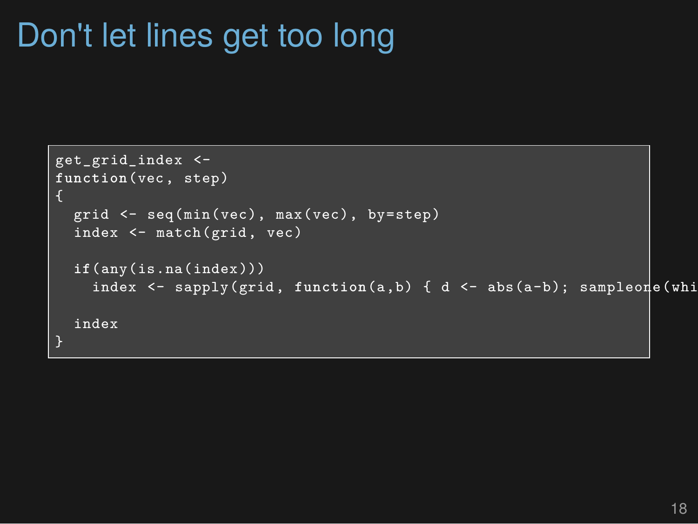### Don't let lines get too long

```
get_grid_index <-
function(vec, step)
\mathbf{f}grid <- seq(min(vec), max(vec), by=step)
  index <- match(grid, vec)
  if(any(is.na(index)))
    index <- sapply(grid, function(a,b) { d <- abs(a-b); sampleone(whi
  index
}
```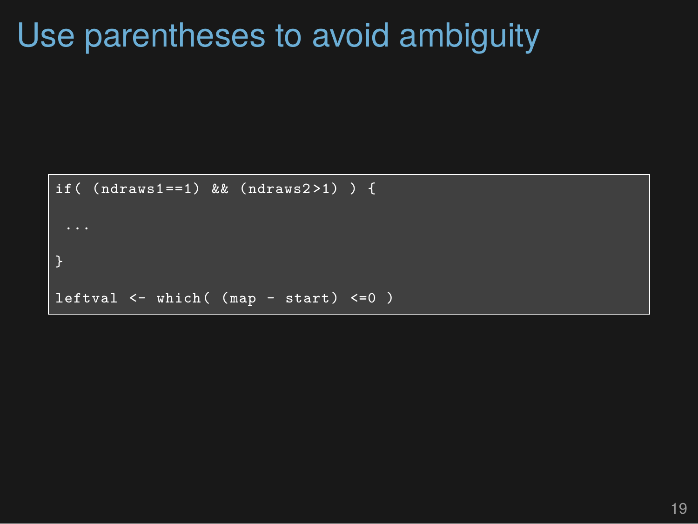#### Use parentheses to avoid ambiguity

```
if( (ndraws1==1) && (ndraws2 >1) ) {
}
leftval <- which( (map - start) <=0 )
```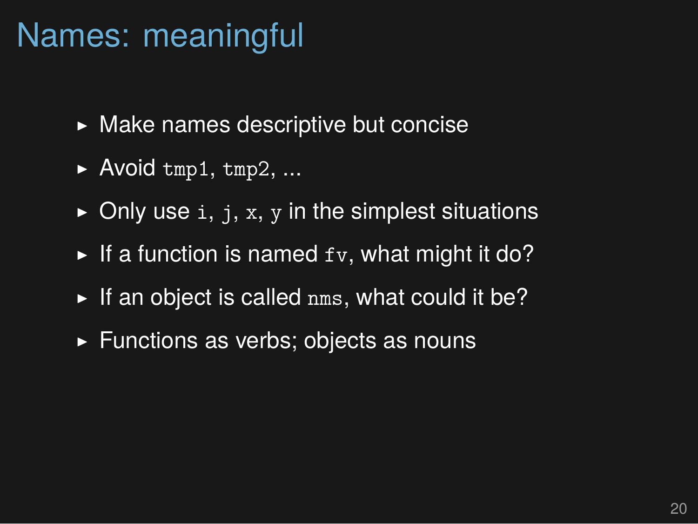#### Names: meaningful

- $\triangleright$  Make names descriptive but concise
- $\blacktriangleright$  Avoid tmp1, tmp2, ...
- $\triangleright$  Only use i, j, x, y in the simplest situations
- $\blacktriangleright$  If a function is named  $f_v$ , what might it do?
- $\blacktriangleright$  If an object is called nms, what could it be?
- ▶ Functions as verbs; objects as nouns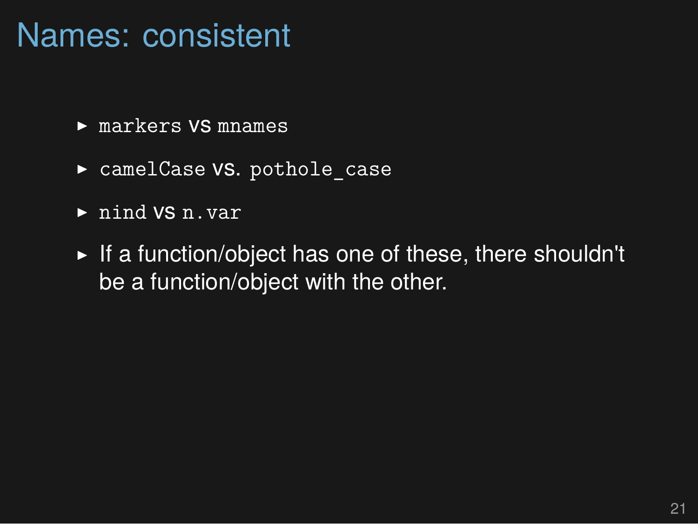#### Names: consistent

- ▶ markers VS mnames
- ▶ camelCase VS. pothole case
- ▶ nind vs n.var
- ▶ If a function/object has one of these, there shouldn't be a function/object with the other.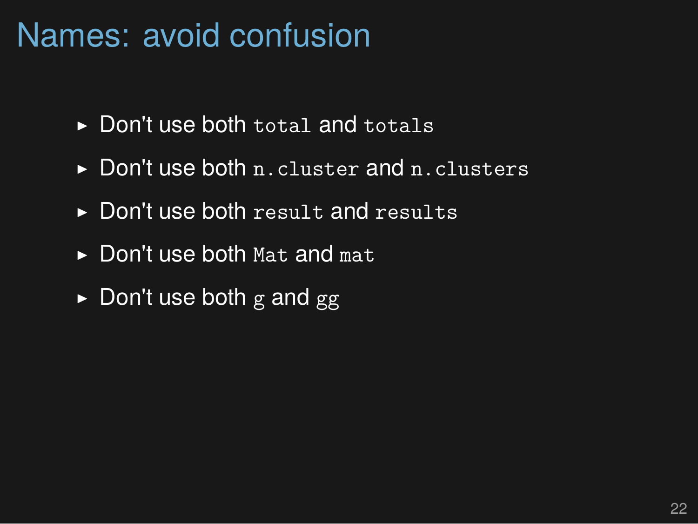#### Names: avoid confusion

- ▶ Don't use both total and totals
- ▶ Don't use both n.cluster and n.clusters
- ▶ Don't use both result and results
- $\triangleright$  Don't use both Mat and mat
- $\triangleright$  Don't use both g and gg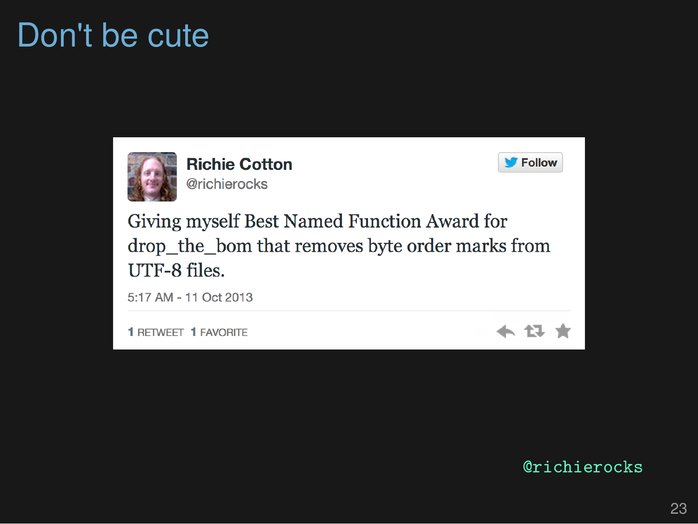# Don't be cute



@richierocks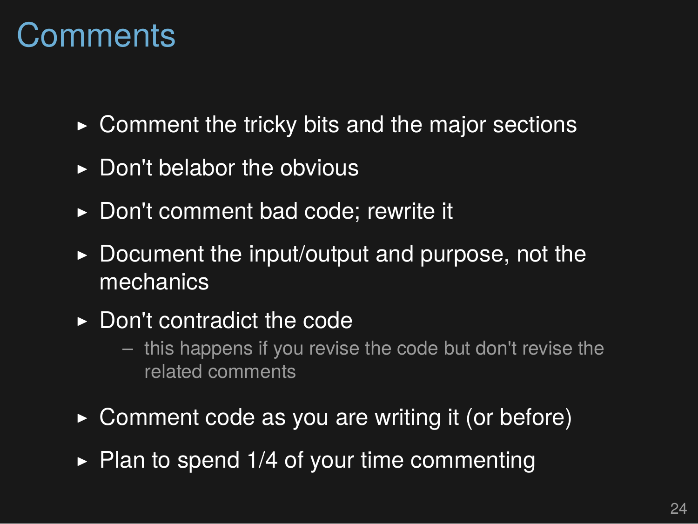#### **Comments**

- $\triangleright$  Comment the tricky bits and the major sections
- $\triangleright$  Don't belabor the obvious
- ▶ Don't comment bad code; rewrite it
- $\triangleright$  Document the input/output and purpose, not the mechanics
- ▶ Don't contradict the code
	- this happens if you revise the code but don't revise the related comments
- $\triangleright$  Comment code as you are writing it (or before)
- $\triangleright$  Plan to spend 1/4 of your time commenting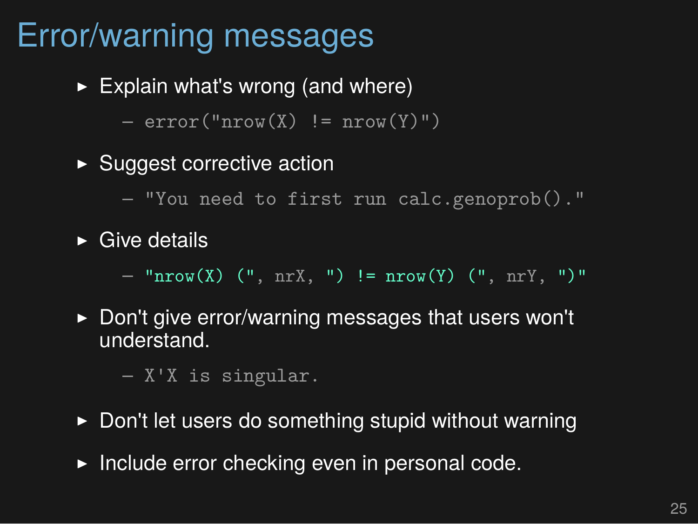## Error/warning messages

 $\blacktriangleright$  Explain what's wrong (and where)

 $-$  error("nrow(X) != nrow(Y)")

- ▶ Suggest corrective action
	- "You need to first run calc.genoprob()."
- $\triangleright$  Give details

– "nrow(X) (", nrX, ") != nrow(Y) (", nrY, ")"

▶ Don't give error/warning messages that users won't understand.

– X'X is singular.

- ▶ Don't let users do something stupid without warning
- $\blacktriangleright$  Include error checking even in personal code.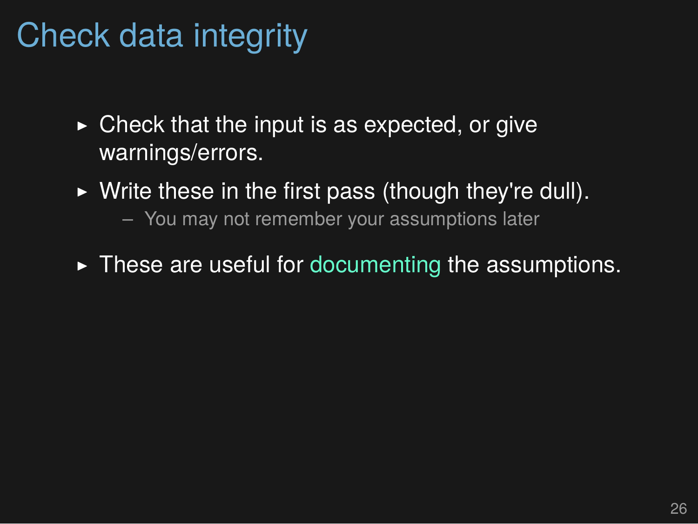### Check data integrity

- $\triangleright$  Check that the input is as expected, or give warnings/errors.
- $\triangleright$  Write these in the first pass (though they're dull).
	- You may not remember your assumptions later
- $\triangleright$  These are useful for documenting the assumptions.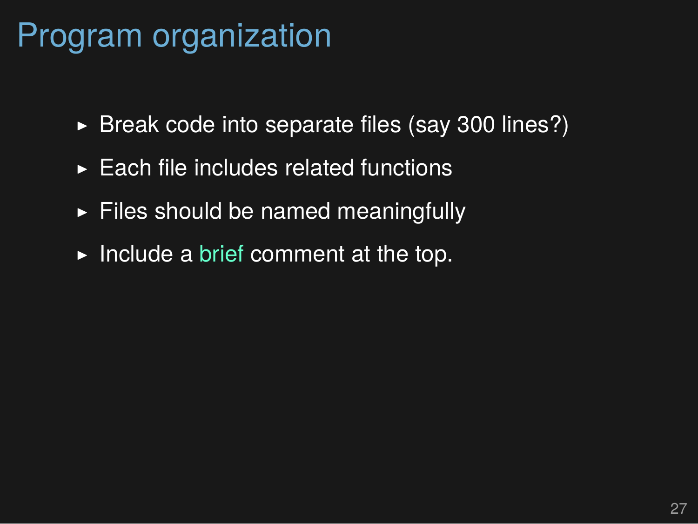#### Program organization

- $\triangleright$  Break code into separate files (say 300 lines?)
- $\triangleright$  Each file includes related functions
- $\blacktriangleright$  Files should be named meaningfully
- $\blacktriangleright$  Include a brief comment at the top.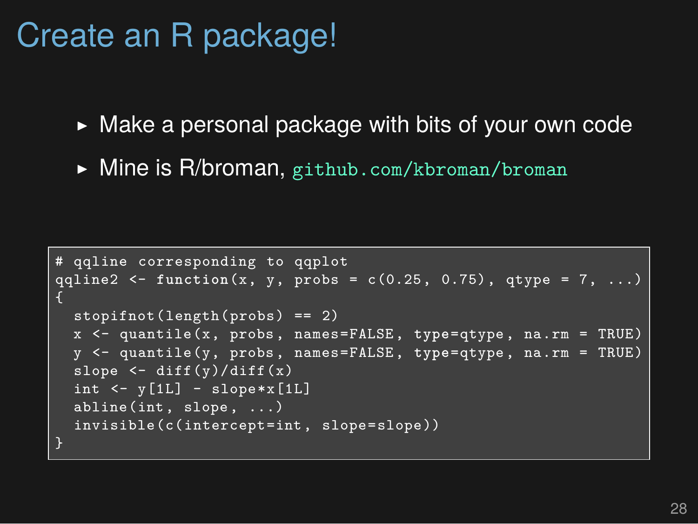# Create an R package!

- ▶ Make a personal package with bits of your own code
- ▶ Mine is R/broman, github.com/kbroman/broman

```
# qqline corresponding to qqplot
qqline2 <- function(x, y, probs = c(0.25, 0.75), qtype = 7, ...)
{
 stopifnot(length(probs) == 2)
 x <- quantile(x, probs, names=FALSE, type=qtype, na.rm = TRUE)
  y <- quantile(y, probs, names=FALSE, type=qtype, na.rm = TRUE)
  slope <- diff(y)/diff(x)
  int <- y[1L] - slope*x[1L]
  abline(int, slope, ...)
 invisible(c(intercept=int, slope=slope))
```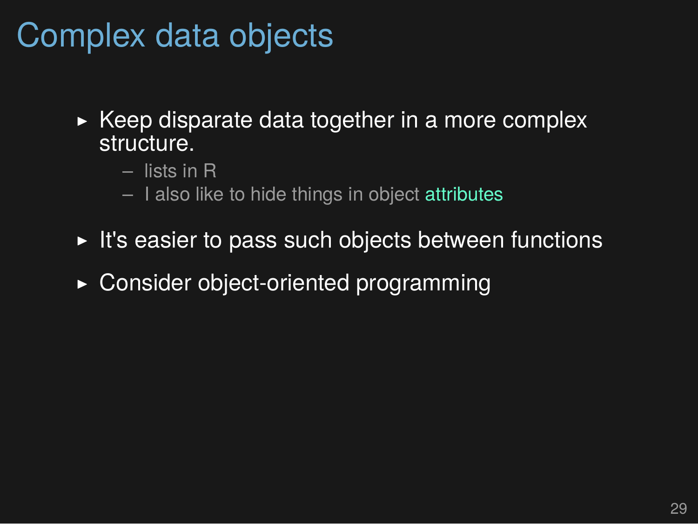### Complex data objects

- $\triangleright$  Keep disparate data together in a more complex structure.
	- lists in R
	- I also like to hide things in object attributes
- $\triangleright$  It's easier to pass such objects between functions
- ▶ Consider object-oriented programming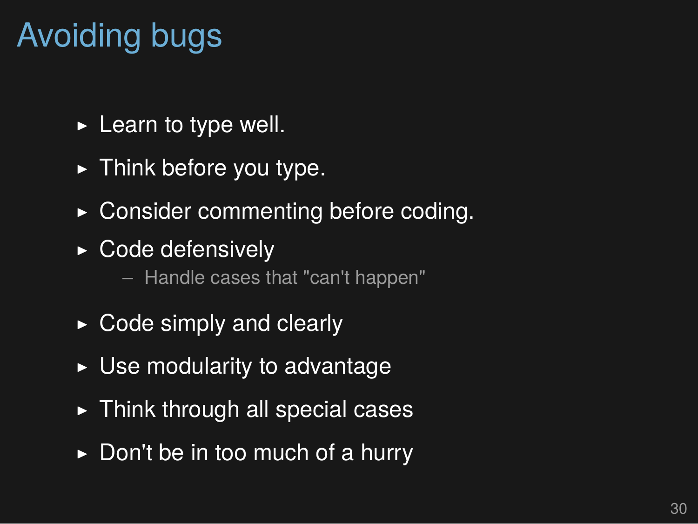# Avoiding bugs

- $\blacktriangleright$  Learn to type well.
- $\blacktriangleright$  Think before you type.
- ▶ Consider commenting before coding.
- ▶ Code defensively
	- Handle cases that "can't happen"
- $\triangleright$  Code simply and clearly
- $\triangleright$  Use modularity to advantage
- $\blacktriangleright$  Think through all special cases
- $\triangleright$  Don't be in too much of a hurry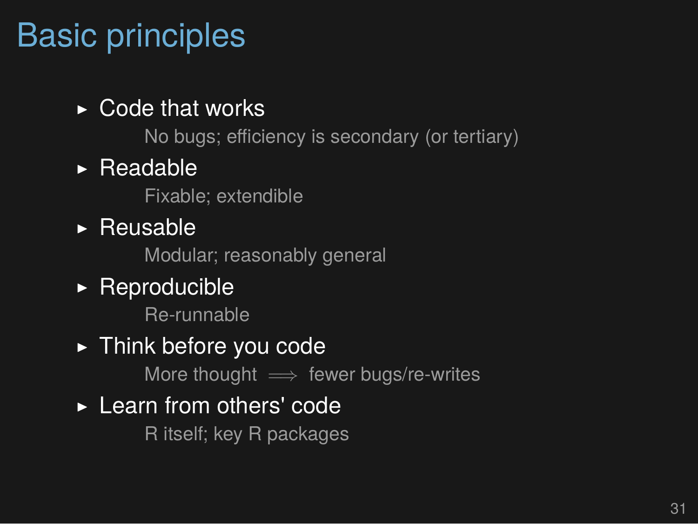## Basic principles

#### $\triangleright$  Code that works

No bugs; efficiency is secondary (or tertiary)

#### $\triangleright$  Readable

Fixable; extendible

▶ Reusable

Modular; reasonably general

#### $\triangleright$  Reproducible

Re-runnable

#### ▶ Think before you code

More thought =*⇒* fewer bugs/re-writes

#### ▶ Learn from others' code

R itself; key R packages